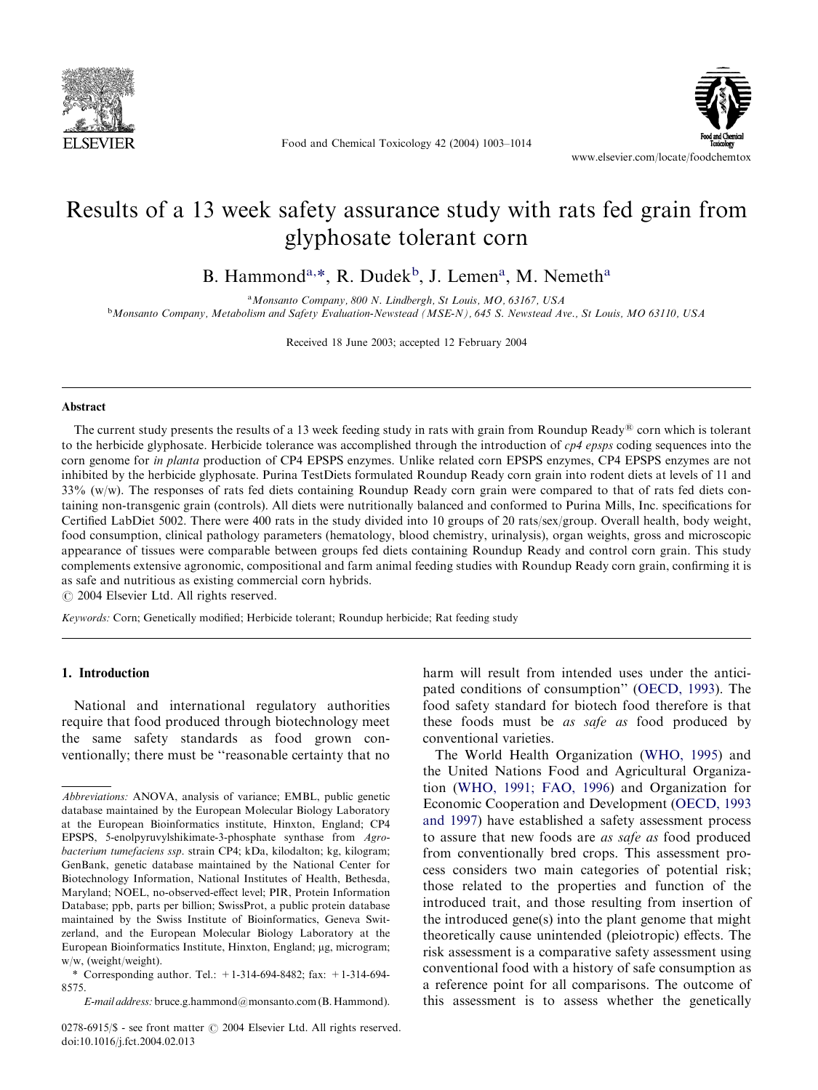

Food and Chemical Toxicology 42 (2004) 1003–1014



# Results of a 13 week safety assurance study with rats fed grain from glyphosate tolerant corn

B. Hammond<sup>a,\*</sup>, R. Dudek<sup>b</sup>, J. Lemen<sup>a</sup>, M. Nemeth<sup>a</sup>

<sup>a</sup>Monsanto Company, 800 N. Lindbergh, St Louis, MO, 63167, USA <sup>b</sup>Monsanto Company, Metabolism and Safety Evaluation-Newstead (MSE-N), 645 S. Newstead Ave., St Louis, MO 63110, USA

Received 18 June 2003; accepted 12 February 2004

## Abstract

The current study presents the results of a 13 week feeding study in rats with grain from Roundup Ready<sup>®</sup> corn which is tolerant to the herbicide glyphosate. Herbicide tolerance was accomplished through the introduction of  $c\theta$  epsps coding sequences into the corn genome for *in planta* production of CP4 EPSPS enzymes. Unlike related corn EPSPS enzymes, CP4 EPSPS enzymes are not inhibited by the herbicide glyphosate. Purina TestDiets formulated Roundup Ready corn grain into rodent diets at levels of 11 and 33% (w/w). The responses of rats fed diets containing Roundup Ready corn grain were compared to that of rats fed diets containing non-transgenic grain (controls). All diets were nutritionally balanced and conformed to Purina Mills, Inc. specifications for Certified LabDiet 5002. There were 400 rats in the study divided into 10 groups of 20 rats/sex/group. Overall health, body weight, food consumption, clinical pathology parameters (hematology, blood chemistry, urinalysis), organ weights, gross and microscopic appearance of tissues were comparable between groups fed diets containing Roundup Ready and control corn grain. This study complements extensive agronomic, compositional and farm animal feeding studies with Roundup Ready corn grain, confirming it is as safe and nutritious as existing commercial corn hybrids.

 $\odot$  2004 Elsevier Ltd. All rights reserved.

Keywords: Corn; Genetically modified; Herbicide tolerant; Roundup herbicide; Rat feeding study

# 1. Introduction

National and international regulatory authorities require that food produced through biotechnology meet the same safety standards as food grown conventionally; there must be ''reasonable certainty that no harm will result from intended uses under the anticipated conditions of consumption'' [\(OECD, 1993\)](#page-11-0). The food safety standard for biotech food therefore is that these foods must be *as safe as* food produced by conventional varieties.

The World Health Organization [\(WHO, 1995\)](#page-11-0) and the United Nations Food and Agricultural Organization [\(WHO, 1991; FAO, 1996\)](#page-11-0) and Organization for Economic Cooperation and Development ([OECD, 1993](#page-11-0) [and 1997\)](#page-11-0) have established a safety assessment process to assure that new foods are as safe as food produced from conventionally bred crops. This assessment process considers two main categories of potential risk; those related to the properties and function of the introduced trait, and those resulting from insertion of the introduced gene(s) into the plant genome that might theoretically cause unintended (pleiotropic) effects. The risk assessment is a comparative safety assessment using conventional food with a history of safe consumption as a reference point for all comparisons. The outcome of this assessment is to assess whether the genetically

Abbreviations: ANOVA, analysis of variance; EMBL, public genetic database maintained by the European Molecular Biology Laboratory at the European Bioinformatics institute, Hinxton, England; CP4 EPSPS, 5-enolpyruvylshikimate-3-phosphate synthase from Agrobacterium tumefaciens ssp. strain CP4; kDa, kilodalton; kg, kilogram; GenBank, genetic database maintained by the National Center for Biotechnology Information, National Institutes of Health, Bethesda, Maryland; NOEL, no-observed-effect level; PIR, Protein Information Database; ppb, parts per billion; SwissProt, a public protein database maintained by the Swiss Institute of Bioinformatics, Geneva Switzerland, and the European Molecular Biology Laboratory at the European Bioinformatics Institute, Hinxton, England; µg, microgram; w/w, (weight/weight).

<sup>\*</sup> Corresponding author. Tel.:  $+1-314-694-8482$ ; fax:  $+1-314-694-$ 8575.

E-mail address: [bruce.g.hammond@monsanto.com](mailto:bruce.g.hammond@monsanto.com) (B. Hammond).

<sup>0278-6915/\$ -</sup> see front matter © 2004 Elsevier Ltd. All rights reserved. doi:10.1016/j.fct.2004.02.013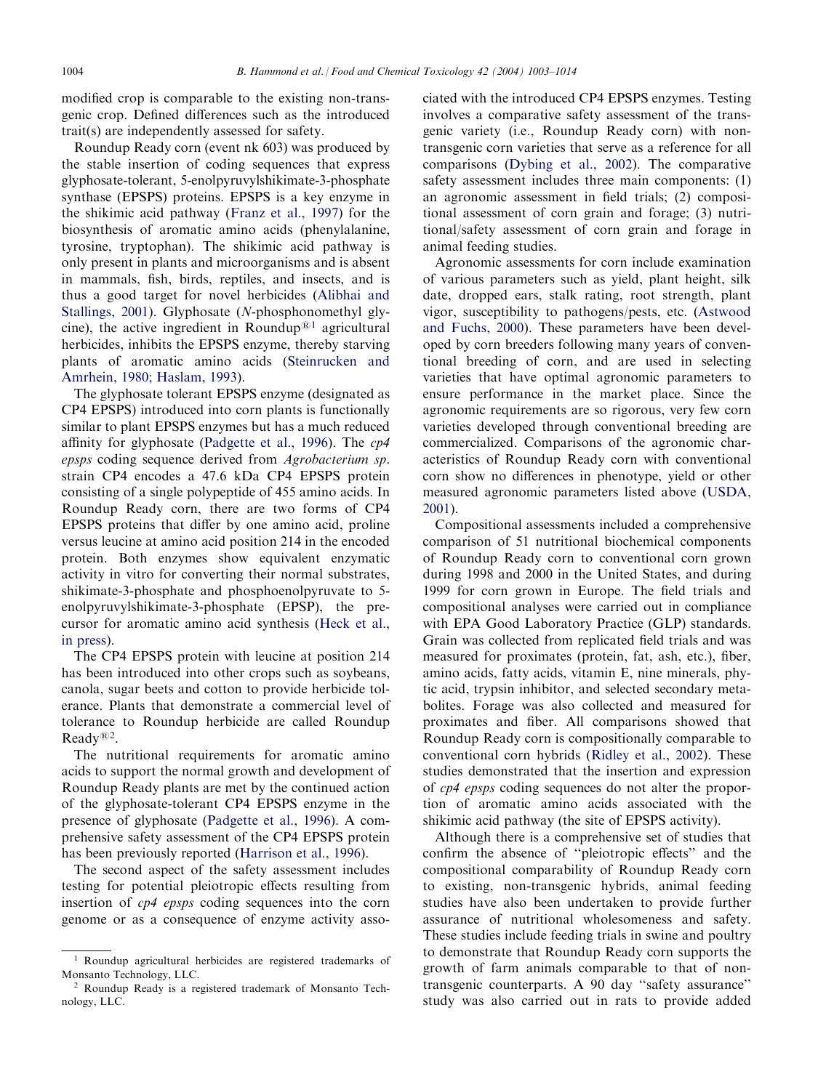modified crop is comparable to the existing non-transgenic crop. Defined differences such as the introduced trait(s) are independently assessed for safety.

Roundup Ready corn (event nk 603) was produced by the stable insertion of coding sequences that express glyphosate-tolerant, 5-enolpyruvylshikimate-3-phosphate synthase (EPSPS) proteins. EPSPS is a key enzyme in the shikimic acid pathway ([Franz et al., 1997](#page-10-0)) for the biosynthesis of aromatic amino acids (phenylalanine, tyrosine, tryptophan). The shikimic acid pathway is only present in plants and microorganisms and is absent in mammals, fish, birds, reptiles, and insects, and is thus a good target for novel herbicides [\(Alibhai and](#page-10-0) [Stallings, 2001](#page-10-0)). Glyphosate (N-phosphonomethyl glycine), the active ingredient in Roundup<sup> $@1$ </sup> agricultural herbicides, inhibits the EPSPS enzyme, thereby starving plants of aromatic amino acids [\(Steinrucken and](#page-11-0) [Amrhein, 1980; Haslam, 1993\)](#page-11-0).

The glyphosate tolerant EPSPS enzyme (designated as CP4 EPSPS) introduced into corn plants is functionally similar to plant EPSPS enzymes but has a much reduced affinity for glyphosate ([Padgette et al., 1996\)](#page-11-0). The cp4 epsps coding sequence derived from Agrobacterium sp. strain CP4 encodes a 47.6 kDa CP4 EPSPS protein consisting of a single polypeptide of 455 amino acids. In Roundup Ready corn, there are two forms of CP4 EPSPS proteins that differ by one amino acid, proline versus leucine at amino acid position 214 in the encoded protein. Both enzymes show equivalent enzymatic activity in vitro for converting their normal substrates, shikimate-3-phosphate and phosphoenolpyruvate to 5 enolpyruvylshikimate-3-phosphate (EPSP), the precursor for aromatic amino acid synthesis ([Heck et al.,](#page-10-0) [in press](#page-10-0)).

The CP4 EPSPS protein with leucine at position 214 has been introduced into other crops such as soybeans, canola, sugar beets and cotton to provide herbicide tolerance. Plants that demonstrate a commercial level of tolerance to Roundup herbicide are called Roundup  $\text{Ready}^{\textcircled{\tiny{\text{R}}2}}$ .

The nutritional requirements for aromatic amino acids to support the normal growth and development of Roundup Ready plants are met by the continued action of the glyphosate-tolerant CP4 EPSPS enzyme in the presence of glyphosate [\(Padgette et al., 1996\)](#page-11-0). A comprehensive safety assessment of the CP4 EPSPS protein has been previously reported ([Harrison et al., 1996\)](#page-10-0).

The second aspect of the safety assessment includes testing for potential pleiotropic effects resulting from insertion of cp4 epsps coding sequences into the corn genome or as a consequence of enzyme activity asso-

ciated with the introduced CP4 EPSPS enzymes. Testing involves a comparative safety assessment of the transgenic variety (i.e., Roundup Ready corn) with nontransgenic corn varieties that serve as a reference for all comparisons ([Dybing et al., 2002](#page-10-0)). The comparative safety assessment includes three main components: (1) an agronomic assessment in field trials; (2) compositional assessment of corn grain and forage; (3) nutritional/safety assessment of corn grain and forage in animal feeding studies.

Agronomic assessments for corn include examination of various parameters such as yield, plant height, silk date, dropped ears, stalk rating, root strength, plant vigor, susceptibility to pathogens/pests, etc. (Astwood and Fuchs, 2000). These parameters have been developed by corn breeders following many years of conventional breeding of corn, and are used in selecting varieties that have optimal agronomic parameters to ensure performance in the market place. Since the agronomic requirements are so rigorous, very few corn varieties developed through conventional breeding are commercialized. Comparisons of the agronomic characteristics of Roundup Ready corn with conventional corn show no differences in phenotype, yield or other measured agronomic parameters listed above ([USDA,](#page-11-0) [2001\)](#page-11-0).

Compositional assessments included a comprehensive comparison of 51 nutritional biochemical components of Roundup Ready corn to conventional corn grown during 1998 and 2000 in the United States, and during 1999 for corn grown in Europe. The field trials and compositional analyses were carried out in compliance with EPA Good Laboratory Practice (GLP) standards. Grain was collected from replicated field trials and was measured for proximates (protein, fat, ash, etc.), fiber, amino acids, fatty acids, vitamin E, nine minerals, phytic acid, trypsin inhibitor, and selected secondary metabolites. Forage was also collected and measured for proximates and fiber. All comparisons showed that Roundup Ready corn is compositionally comparable to conventional corn hybrids [\(Ridley et al., 2002\)](#page-11-0). These studies demonstrated that the insertion and expression of cp4 epsps coding sequences do not alter the proportion of aromatic amino acids associated with the shikimic acid pathway (the site of EPSPS activity).

Although there is a comprehensive set of studies that confirm the absence of ''pleiotropic effects'' and the compositional comparability of Roundup Ready corn to existing, non-transgenic hybrids, animal feeding studies have also been undertaken to provide further assurance of nutritional wholesomeness and safety. These studies include feeding trials in swine and poultry to demonstrate that Roundup Ready corn supports the growth of farm animals comparable to that of nontransgenic counterparts. A 90 day ''safety assurance'' study was also carried out in rats to provide added

<sup>1</sup> Roundup agricultural herbicides are registered trademarks of Monsanto Technology, LLC.

<sup>2</sup> Roundup Ready is a registered trademark of Monsanto Technology, LLC.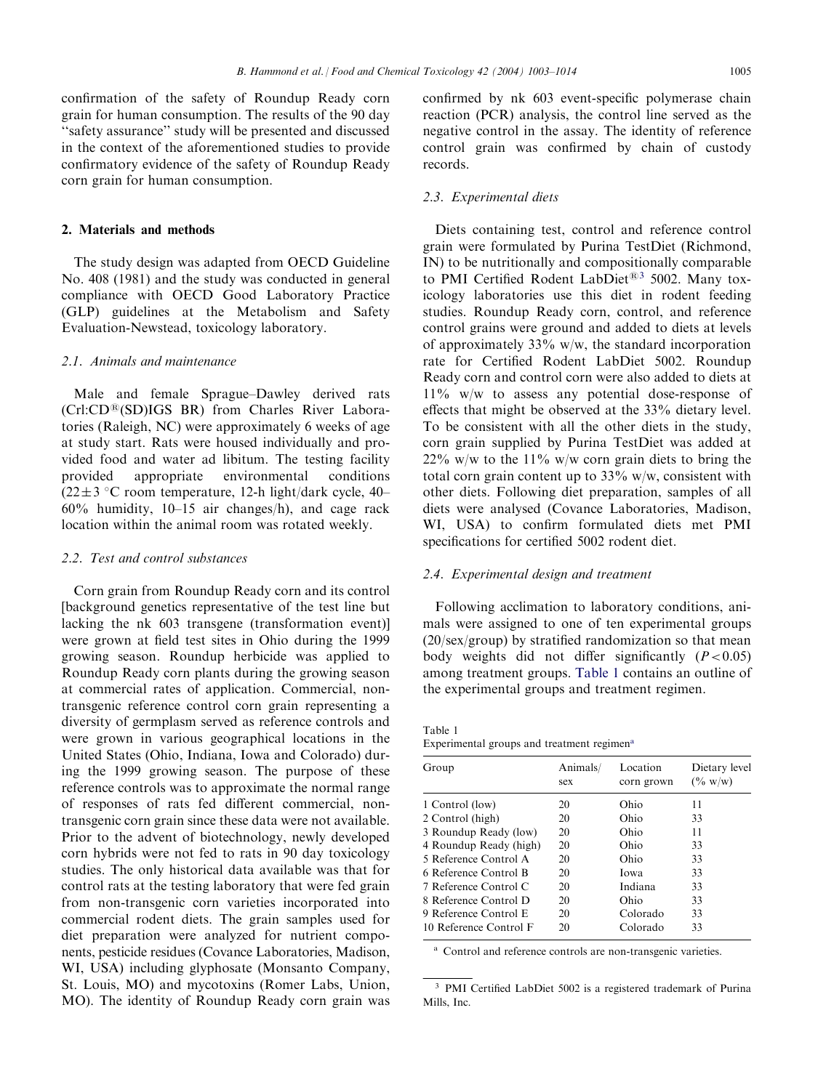confirmation of the safety of Roundup Ready corn grain for human consumption. The results of the 90 day ''safety assurance'' study will be presented and discussed in the context of the aforementioned studies to provide confirmatory evidence of the safety of Roundup Ready corn grain for human consumption.

#### 2. Materials and methods

The study design was adapted from OECD Guideline No. 408 (1981) and the study was conducted in general compliance with OECD Good Laboratory Practice (GLP) guidelines at the Metabolism and Safety Evaluation-Newstead, toxicology laboratory.

# 2.1. Animals and maintenance

Male and female Sprague–Dawley derived rats  $(Crl:CD^@(SD)IGS$  BR) from Charles River Laboratories (Raleigh, NC) were approximately 6 weeks of age at study start. Rats were housed individually and provided food and water ad libitum. The testing facility provided appropriate environmental conditions  $(22 \pm 3 \degree C$  room temperature, 12-h light/dark cycle, 40– 60% humidity, 10–15 air changes/h), and cage rack location within the animal room was rotated weekly.

## 2.2. Test and control substances

Corn grain from Roundup Ready corn and its control [background genetics representative of the test line but lacking the nk 603 transgene (transformation event)] were grown at field test sites in Ohio during the 1999 growing season. Roundup herbicide was applied to Roundup Ready corn plants during the growing season at commercial rates of application. Commercial, nontransgenic reference control corn grain representing a diversity of germplasm served as reference controls and were grown in various geographical locations in the United States (Ohio, Indiana, Iowa and Colorado) during the 1999 growing season. The purpose of these reference controls was to approximate the normal range of responses of rats fed different commercial, nontransgenic corn grain since these data were not available. Prior to the advent of biotechnology, newly developed corn hybrids were not fed to rats in 90 day toxicology studies. The only historical data available was that for control rats at the testing laboratory that were fed grain from non-transgenic corn varieties incorporated into commercial rodent diets. The grain samples used for diet preparation were analyzed for nutrient components, pesticide residues (Covance Laboratories, Madison, WI, USA) including glyphosate (Monsanto Company, St. Louis, MO) and mycotoxins (Romer Labs, Union, MO). The identity of Roundup Ready corn grain was

confirmed by nk 603 event-specific polymerase chain reaction (PCR) analysis, the control line served as the negative control in the assay. The identity of reference control grain was confirmed by chain of custody records.

#### 2.3. Experimental diets

Diets containing test, control and reference control grain were formulated by Purina TestDiet (Richmond, IN) to be nutritionally and compositionally comparable to PMI Certified Rodent LabDiet<sup>®3</sup> 5002. Many toxicology laboratories use this diet in rodent feeding studies. Roundup Ready corn, control, and reference control grains were ground and added to diets at levels of approximately  $33\%$  w/w, the standard incorporation rate for Certified Rodent LabDiet 5002. Roundup Ready corn and control corn were also added to diets at 11% w/w to assess any potential dose-response of effects that might be observed at the 33% dietary level. To be consistent with all the other diets in the study, corn grain supplied by Purina TestDiet was added at  $22\%$  w/w to the 11% w/w corn grain diets to bring the total corn grain content up to  $33\%$  w/w, consistent with other diets. Following diet preparation, samples of all diets were analysed (Covance Laboratories, Madison, WI, USA) to confirm formulated diets met PMI specifications for certified 5002 rodent diet.

# 2.4. Experimental design and treatment

Following acclimation to laboratory conditions, animals were assigned to one of ten experimental groups (20/sex/group) by stratified randomization so that mean body weights did not differ significantly  $(P<0.05)$ among treatment groups. Table 1 contains an outline of the experimental groups and treatment regimen.

Table 1 Experimental groups and treatment regimen<sup>a</sup>

| Group                  | Animals/<br>sex | Location<br>corn grown | Dietary level<br>$(\% w/w)$ |
|------------------------|-----------------|------------------------|-----------------------------|
| 1 Control (low)        | 20              | Ohio                   | 11                          |
| 2 Control (high)       | 20              | Ohio                   | 33                          |
| 3 Roundup Ready (low)  | 20              | Ohio                   | 11                          |
| 4 Roundup Ready (high) | 20              | Ohio                   | 33                          |
| 5 Reference Control A  | 20              | Ohio                   | 33                          |
| 6 Reference Control B  | 20              | Iowa                   | 33                          |
| 7 Reference Control C  | 20              | Indiana                | 33                          |
| 8 Reference Control D  | 20              | Ohio                   | 33                          |
| 9 Reference Control E  | 20              | Colorado               | 33                          |
| 10 Reference Control F | 20              | Colorado               | 33                          |

<sup>a</sup> Control and reference controls are non-transgenic varieties.

<sup>3</sup> PMI Certified LabDiet 5002 is a registered trademark of Purina Mills, Inc.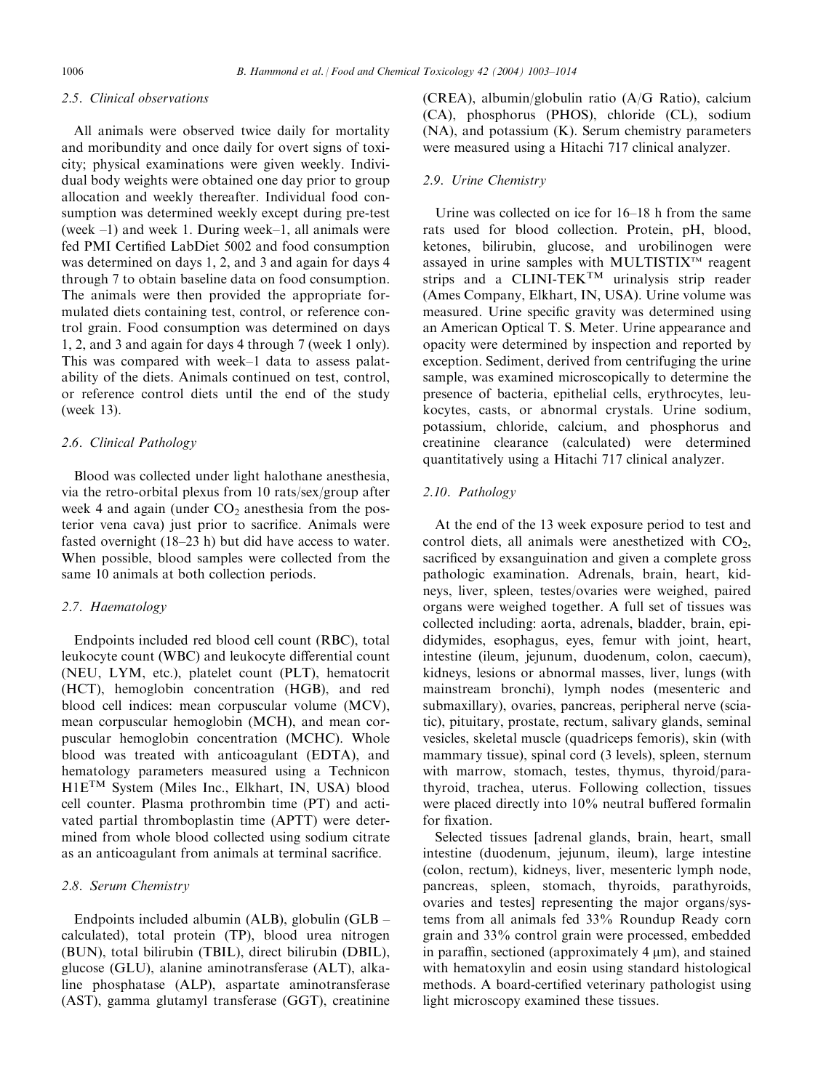# 2.5. Clinical observations

All animals were observed twice daily for mortality and moribundity and once daily for overt signs of toxicity; physical examinations were given weekly. Individual body weights were obtained one day prior to group allocation and weekly thereafter. Individual food consumption was determined weekly except during pre-test (week –1) and week 1. During week–1, all animals were fed PMI Certified LabDiet 5002 and food consumption was determined on days 1, 2, and 3 and again for days 4 through 7 to obtain baseline data on food consumption. The animals were then provided the appropriate formulated diets containing test, control, or reference control grain. Food consumption was determined on days 1, 2, and 3 and again for days 4 through 7 (week 1 only). This was compared with week–1 data to assess palatability of the diets. Animals continued on test, control, or reference control diets until the end of the study (week 13).

# 2.6. Clinical Pathology

Blood was collected under light halothane anesthesia, via the retro-orbital plexus from 10 rats/sex/group after week 4 and again (under  $CO<sub>2</sub>$  anesthesia from the posterior vena cava) just prior to sacrifice. Animals were fasted overnight (18–23 h) but did have access to water. When possible, blood samples were collected from the same 10 animals at both collection periods.

#### 2.7. Haematology

Endpoints included red blood cell count (RBC), total leukocyte count (WBC) and leukocyte differential count (NEU, LYM, etc.), platelet count (PLT), hematocrit (HCT), hemoglobin concentration (HGB), and red blood cell indices: mean corpuscular volume (MCV), mean corpuscular hemoglobin (MCH), and mean corpuscular hemoglobin concentration (MCHC). Whole blood was treated with anticoagulant (EDTA), and hematology parameters measured using a Technicon H1ETM System (Miles Inc., Elkhart, IN, USA) blood cell counter. Plasma prothrombin time (PT) and activated partial thromboplastin time (APTT) were determined from whole blood collected using sodium citrate as an anticoagulant from animals at terminal sacrifice.

#### 2.8. Serum Chemistry

Endpoints included albumin (ALB), globulin (GLB – calculated), total protein (TP), blood urea nitrogen (BUN), total bilirubin (TBIL), direct bilirubin (DBIL), glucose (GLU), alanine aminotransferase (ALT), alkaline phosphatase (ALP), aspartate aminotransferase (AST), gamma glutamyl transferase (GGT), creatinine (CREA), albumin/globulin ratio (A/G Ratio), calcium (CA), phosphorus (PHOS), chloride (CL), sodium (NA), and potassium (K). Serum chemistry parameters were measured using a Hitachi 717 clinical analyzer.

#### 2.9. Urine Chemistry

Urine was collected on ice for 16–18 h from the same rats used for blood collection. Protein, pH, blood, ketones, bilirubin, glucose, and urobilinogen were assayed in urine samples with MULTISTIX<sup>TM</sup> reagent strips and a CLINI-TEK<sup>TM</sup> urinalysis strip reader (Ames Company, Elkhart, IN, USA). Urine volume was measured. Urine specific gravity was determined using an American Optical T. S. Meter. Urine appearance and opacity were determined by inspection and reported by exception. Sediment, derived from centrifuging the urine sample, was examined microscopically to determine the presence of bacteria, epithelial cells, erythrocytes, leukocytes, casts, or abnormal crystals. Urine sodium, potassium, chloride, calcium, and phosphorus and creatinine clearance (calculated) were determined quantitatively using a Hitachi 717 clinical analyzer.

# 2.10. Pathology

At the end of the 13 week exposure period to test and control diets, all animals were anesthetized with  $CO<sub>2</sub>$ , sacrificed by exsanguination and given a complete gross pathologic examination. Adrenals, brain, heart, kidneys, liver, spleen, testes/ovaries were weighed, paired organs were weighed together. A full set of tissues was collected including: aorta, adrenals, bladder, brain, epididymides, esophagus, eyes, femur with joint, heart, intestine (ileum, jejunum, duodenum, colon, caecum), kidneys, lesions or abnormal masses, liver, lungs (with mainstream bronchi), lymph nodes (mesenteric and submaxillary), ovaries, pancreas, peripheral nerve (sciatic), pituitary, prostate, rectum, salivary glands, seminal vesicles, skeletal muscle (quadriceps femoris), skin (with mammary tissue), spinal cord (3 levels), spleen, sternum with marrow, stomach, testes, thymus, thyroid/parathyroid, trachea, uterus. Following collection, tissues were placed directly into 10% neutral buffered formalin for fixation.

Selected tissues [adrenal glands, brain, heart, small intestine (duodenum, jejunum, ileum), large intestine (colon, rectum), kidneys, liver, mesenteric lymph node, pancreas, spleen, stomach, thyroids, parathyroids, ovaries and testes] representing the major organs/systems from all animals fed 33% Roundup Ready corn grain and 33% control grain were processed, embedded in paraffin, sectioned (approximately  $4 \mu m$ ), and stained with hematoxylin and eosin using standard histological methods. A board-certified veterinary pathologist using light microscopy examined these tissues.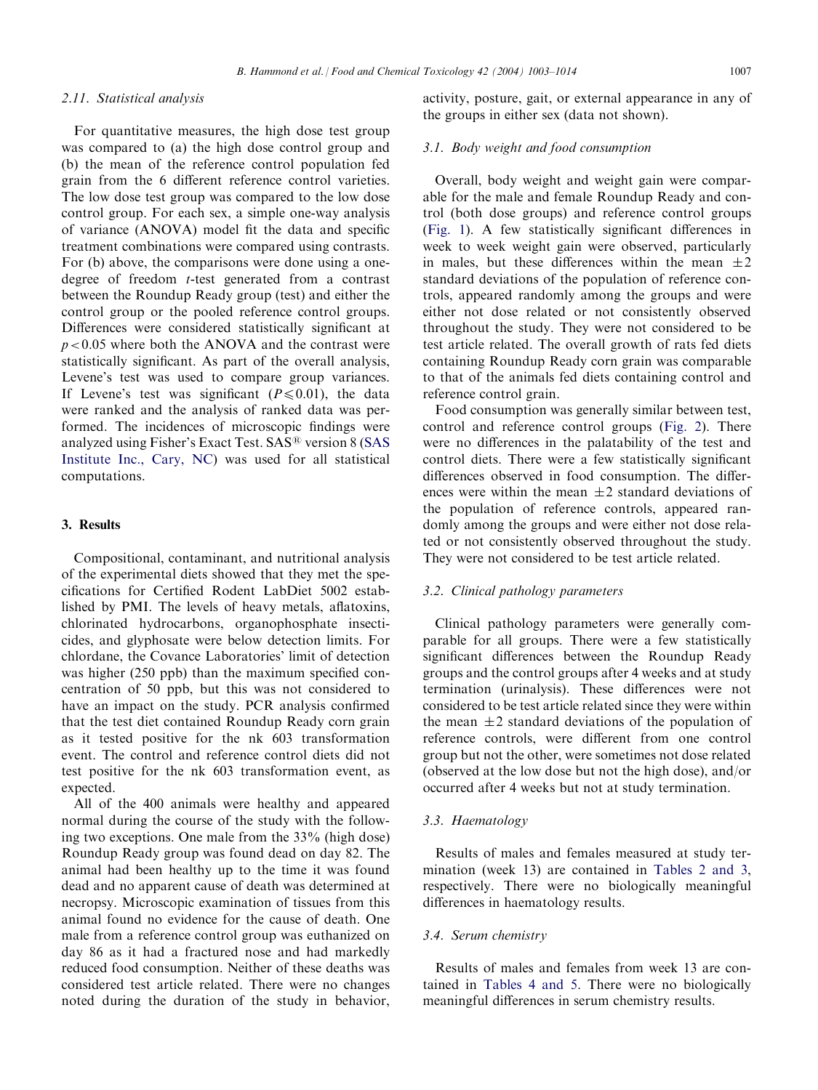# 2.11. Statistical analysis

For quantitative measures, the high dose test group was compared to (a) the high dose control group and (b) the mean of the reference control population fed grain from the 6 different reference control varieties. The low dose test group was compared to the low dose control group. For each sex, a simple one-way analysis of variance (ANOVA) model fit the data and specific treatment combinations were compared using contrasts. For (b) above, the comparisons were done using a onedegree of freedom t-test generated from a contrast between the Roundup Ready group (test) and either the control group or the pooled reference control groups. Differences were considered statistically significant at  $p < 0.05$  where both the ANOVA and the contrast were statistically significant. As part of the overall analysis, Levene's test was used to compare group variances. If Levene's test was significant ( $P \le 0.01$ ), the data were ranked and the analysis of ranked data was performed. The incidences of microscopic findings were analyzed using Fisher's Exact Test. SAS<sup>®</sup> version 8 [\(SAS](#page-11-0) [Institute Inc., Cary, NC](#page-11-0)) was used for all statistical computations.

# 3. Results

Compositional, contaminant, and nutritional analysis of the experimental diets showed that they met the specifications for Certified Rodent LabDiet 5002 established by PMI. The levels of heavy metals, aflatoxins, chlorinated hydrocarbons, organophosphate insecticides, and glyphosate were below detection limits. For chlordane, the Covance Laboratories' limit of detection was higher (250 ppb) than the maximum specified concentration of 50 ppb, but this was not considered to have an impact on the study. PCR analysis confirmed that the test diet contained Roundup Ready corn grain as it tested positive for the nk 603 transformation event. The control and reference control diets did not test positive for the nk 603 transformation event, as expected.

All of the 400 animals were healthy and appeared normal during the course of the study with the following two exceptions. One male from the 33% (high dose) Roundup Ready group was found dead on day 82. The animal had been healthy up to the time it was found dead and no apparent cause of death was determined at necropsy. Microscopic examination of tissues from this animal found no evidence for the cause of death. One male from a reference control group was euthanized on day 86 as it had a fractured nose and had markedly reduced food consumption. Neither of these deaths was considered test article related. There were no changes noted during the duration of the study in behavior, activity, posture, gait, or external appearance in any of the groups in either sex (data not shown).

### 3.1. Body weight and food consumption

Overall, body weight and weight gain were comparable for the male and female Roundup Ready and control (both dose groups) and reference control groups [\(Fig. 1](#page-5-0)). A few statistically significant differences in week to week weight gain were observed, particularly in males, but these differences within the mean  $\pm 2$ standard deviations of the population of reference controls, appeared randomly among the groups and were either not dose related or not consistently observed throughout the study. They were not considered to be test article related. The overall growth of rats fed diets containing Roundup Ready corn grain was comparable to that of the animals fed diets containing control and reference control grain.

Food consumption was generally similar between test, control and reference control groups [\(Fig. 2\)](#page-6-0). There were no differences in the palatability of the test and control diets. There were a few statistically significant differences observed in food consumption. The differences were within the mean  $\pm 2$  standard deviations of the population of reference controls, appeared randomly among the groups and were either not dose related or not consistently observed throughout the study. They were not considered to be test article related.

# 3.2. Clinical pathology parameters

Clinical pathology parameters were generally comparable for all groups. There were a few statistically significant differences between the Roundup Ready groups and the control groups after 4 weeks and at study termination (urinalysis). These differences were not considered to be test article related since they were within the mean  $\pm 2$  standard deviations of the population of reference controls, were different from one control group but not the other, were sometimes not dose related (observed at the low dose but not the high dose), and/or occurred after 4 weeks but not at study termination.

# 3.3. Haematology

Results of males and females measured at study termination (week 13) are contained in [Tables 2 and 3](#page-5-0), respectively. There were no biologically meaningful differences in haematology results.

#### 3.4. Serum chemistry

Results of males and females from week 13 are contained in [Tables 4 and 5](#page-7-0). There were no biologically meaningful differences in serum chemistry results.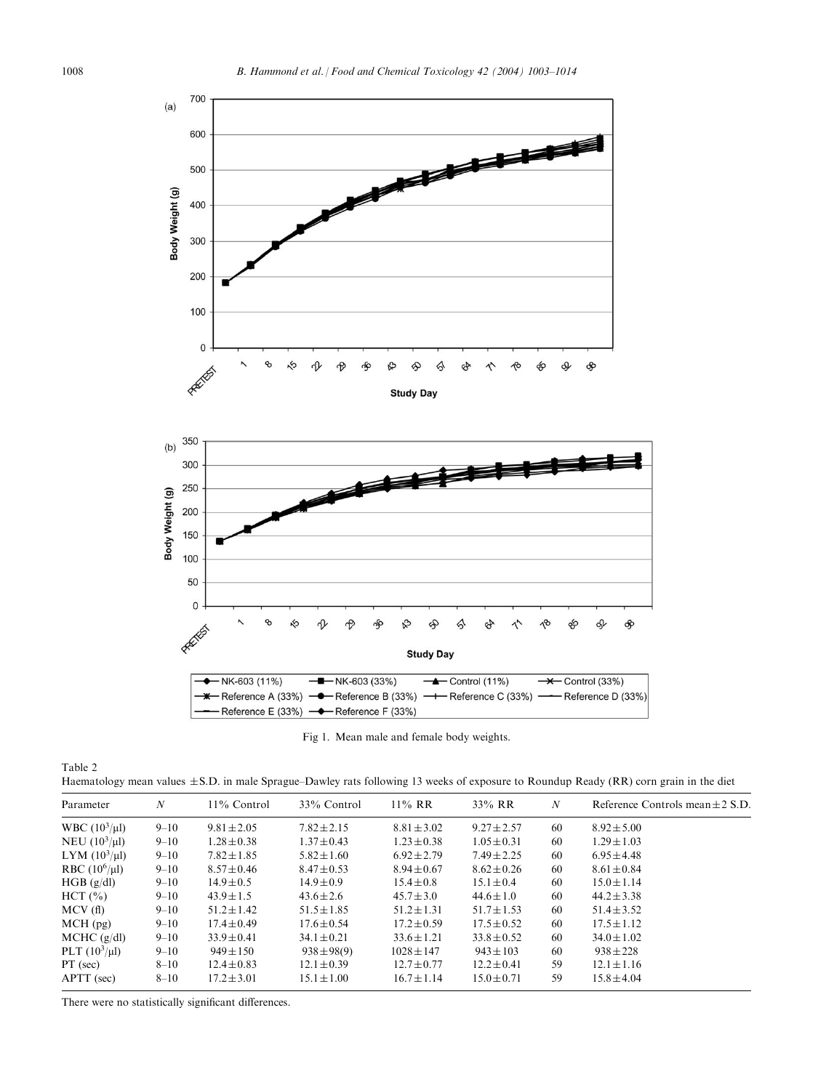<span id="page-5-0"></span>

Fig 1. Mean male and female body weights.

| Haematology mean values $\pm$ S.D. in male Sprague–Dawley rats following 13 weeks of exposure to Roundup Ready (RR) corn grain in the diet |  |  |  |  |
|--------------------------------------------------------------------------------------------------------------------------------------------|--|--|--|--|
|                                                                                                                                            |  |  |  |  |
|                                                                                                                                            |  |  |  |  |
|                                                                                                                                            |  |  |  |  |

| Parameter                 | N        | $11\%$ Control  | 33% Control     | $11\%$ RR       | 33% RR          | N  | Reference Controls mean $\pm 2$ S.D. |
|---------------------------|----------|-----------------|-----------------|-----------------|-----------------|----|--------------------------------------|
| <b>WBC</b> $(10^3/\mu l)$ | $9 - 10$ | $9.81 \pm 2.05$ | $7.82 \pm 2.15$ | $8.81 \pm 3.02$ | $9.27 \pm 2.57$ | 60 | $8.92 \pm 5.00$                      |
| NEU $(10^3/\mu l)$        | $9 - 10$ | $1.28 \pm 0.38$ | $1.37 \pm 0.43$ | $1.23 \pm 0.38$ | $1.05 \pm 0.31$ | 60 | $1.29 \pm 1.03$                      |
| LYM $(10^3/\mu l)$        | $9 - 10$ | $7.82 \pm 1.85$ | $5.82 \pm 1.60$ | $6.92 \pm 2.79$ | $7.49 \pm 2.25$ | 60 | $6.95 \pm 4.48$                      |
| RBC $(10^6/\mu l)$        | $9 - 10$ | $8.57 \pm 0.46$ | $8.47 \pm 0.53$ | $8.94 \pm 0.67$ | $8.62 \pm 0.26$ | 60 | $8.61 \pm 0.84$                      |
| HGB (g/dl)                | $9 - 10$ | $14.9 \pm 0.5$  | $14.9 \pm 0.9$  | $15.4 \pm 0.8$  | $15.1 \pm 0.4$  | 60 | $15.0 \pm 1.14$                      |
| HCT (%)                   | $9 - 10$ | $43.9 \pm 1.5$  | $43.6 \pm 2.6$  | $45.7 \pm 3.0$  | $44.6 \pm 1.0$  | 60 | $44.2 \pm 3.38$                      |
| MCV(f)                    | $9 - 10$ | $51.2 \pm 1.42$ | $51.5 \pm 1.85$ | $51.2 \pm 1.31$ | $51.7 \pm 1.53$ | 60 | $51.4 \pm 3.52$                      |
| $MCH$ (pg)                | $9 - 10$ | $17.4 \pm 0.49$ | $17.6 \pm 0.54$ | $17.2 \pm 0.59$ | $17.5 \pm 0.52$ | 60 | $17.5 \pm 1.12$                      |
| $MCHC$ (g/dl)             | $9 - 10$ | $33.9 \pm 0.41$ | $34.1 \pm 0.21$ | $33.6 \pm 1.21$ | $33.8 \pm 0.52$ | 60 | $34.0 \pm 1.02$                      |
| PLT $(10^3/\mu l)$        | $9 - 10$ | $949 \pm 150$   | $938 \pm 98(9)$ | $1028 \pm 147$  | $943 \pm 103$   | 60 | $938 \pm 228$                        |
| $PT$ (sec)                | $8 - 10$ | $12.4 \pm 0.83$ | $12.1 \pm 0.39$ | $12.7 \pm 0.77$ | $12.2 \pm 0.41$ | 59 | $12.1 \pm 1.16$                      |
| APTT (sec)                | $8 - 10$ | $17.2 \pm 3.01$ | $15.1 \pm 1.00$ | $16.7 \pm 1.14$ | $15.0 \pm 0.71$ | 59 | $15.8 \pm 4.04$                      |

There were no statistically significant differences.

Table 2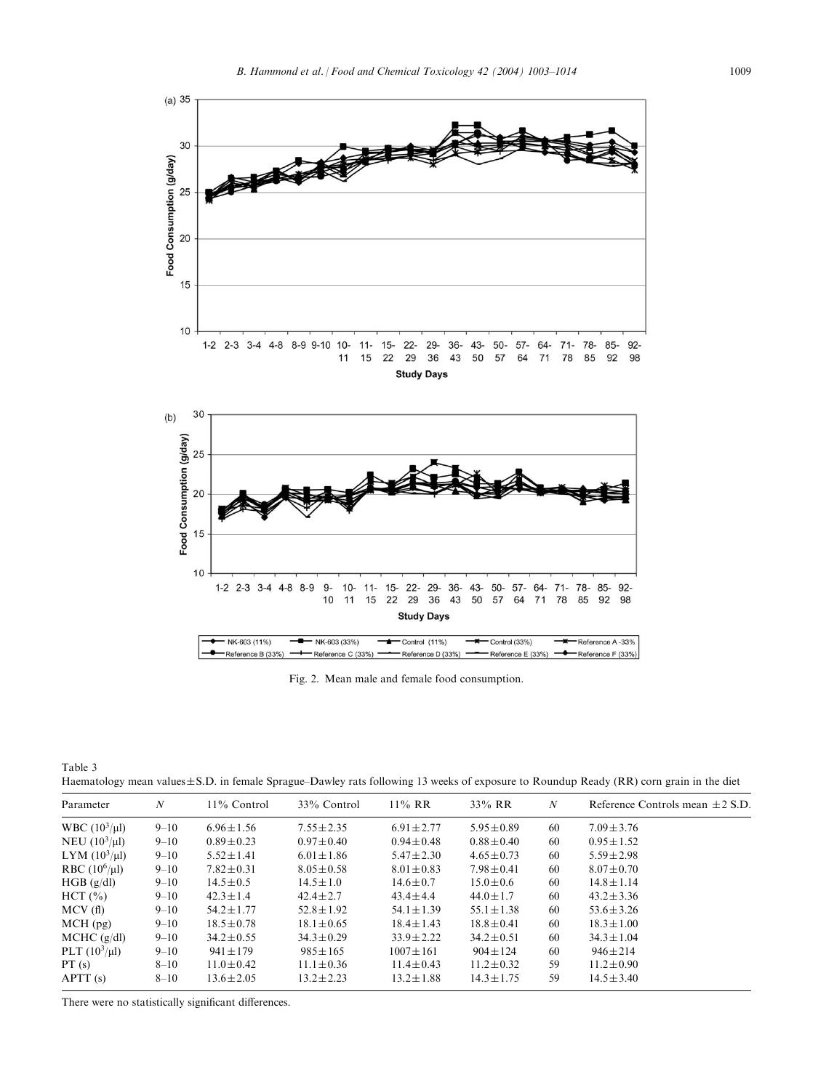<span id="page-6-0"></span>

Fig. 2. Mean male and female food consumption.

Table 3 Haematology mean values $\pm$ S.D. in female Sprague–Dawley rats following 13 weeks of exposure to Roundup Ready (RR) corn grain in the diet

| Parameter          | N        | $11\%$ Control  | 33% Control     | $11\%$ RR       | 33% RR          | N  | Reference Controls mean $\pm 2$ S.D. |
|--------------------|----------|-----------------|-----------------|-----------------|-----------------|----|--------------------------------------|
| WBC $(10^3/\mu l)$ | $9 - 10$ | $6.96 \pm 1.56$ | $7.55 \pm 2.35$ | $6.91 \pm 2.77$ | $5.95 \pm 0.89$ | 60 | $7.09 \pm 3.76$                      |
| NEU $(10^3/\mu l)$ | $9 - 10$ | $0.89 \pm 0.23$ | $0.97 \pm 0.40$ | $0.94 \pm 0.48$ | $0.88 \pm 0.40$ | 60 | $0.95 \pm 1.52$                      |
| LYM $(10^3/\mu l)$ | $9 - 10$ | $5.52 \pm 1.41$ | $6.01 \pm 1.86$ | $5.47 \pm 2.30$ | $4.65 \pm 0.73$ | 60 | $5.59 \pm 2.98$                      |
| RBC $(10^6/\mu l)$ | $9 - 10$ | $7.82 \pm 0.31$ | $8.05 \pm 0.58$ | $8.01 \pm 0.83$ | $7.98 \pm 0.41$ | 60 | $8.07 \pm 0.70$                      |
| HGB (g/dl)         | $9 - 10$ | $14.5 \pm 0.5$  | $14.5 \pm 1.0$  | $14.6 \pm 0.7$  | $15.0 \pm 0.6$  | 60 | $14.8 \pm 1.14$                      |
| HCT (%)            | $9 - 10$ | $42.3 \pm 1.4$  | $42.4 \pm 2.7$  | $43.4 \pm 4.4$  | $44.0 \pm 1.7$  | 60 | $43.2 \pm 3.36$                      |
| MCV(f)             | $9 - 10$ | $54.2 \pm 1.77$ | $52.8 \pm 1.92$ | $54.1 \pm 1.39$ | $55.1 \pm 1.38$ | 60 | $53.6 \pm 3.26$                      |
| $MCH$ (pg)         | $9 - 10$ | $18.5 \pm 0.78$ | $18.1 \pm 0.65$ | $18.4 \pm 1.43$ | $18.8 \pm 0.41$ | 60 | $18.3 \pm 1.00$                      |
| $MCHC$ (g/dl)      | $9 - 10$ | $34.2 \pm 0.55$ | $34.3 \pm 0.29$ | $33.9 \pm 2.22$ | $34.2 \pm 0.51$ | 60 | $34.3 \pm 1.04$                      |
| PLT $(10^3/\mu l)$ | $9 - 10$ | $941 \pm 179$   | $985 \pm 165$   | $1007 \pm 161$  | $904 \pm 124$   | 60 | $946 \pm 214$                        |
| PT(s)              | $8 - 10$ | $11.0 \pm 0.42$ | $11.1 \pm 0.36$ | $11.4 \pm 0.43$ | $11.2 \pm 0.32$ | 59 | $11.2 \pm 0.90$                      |
| APT(s)             | $8 - 10$ | $13.6 \pm 2.05$ | $13.2 \pm 2.23$ | $13.2 \pm 1.88$ | $14.3 \pm 1.75$ | 59 | $14.5 \pm 3.40$                      |

There were no statistically significant differences.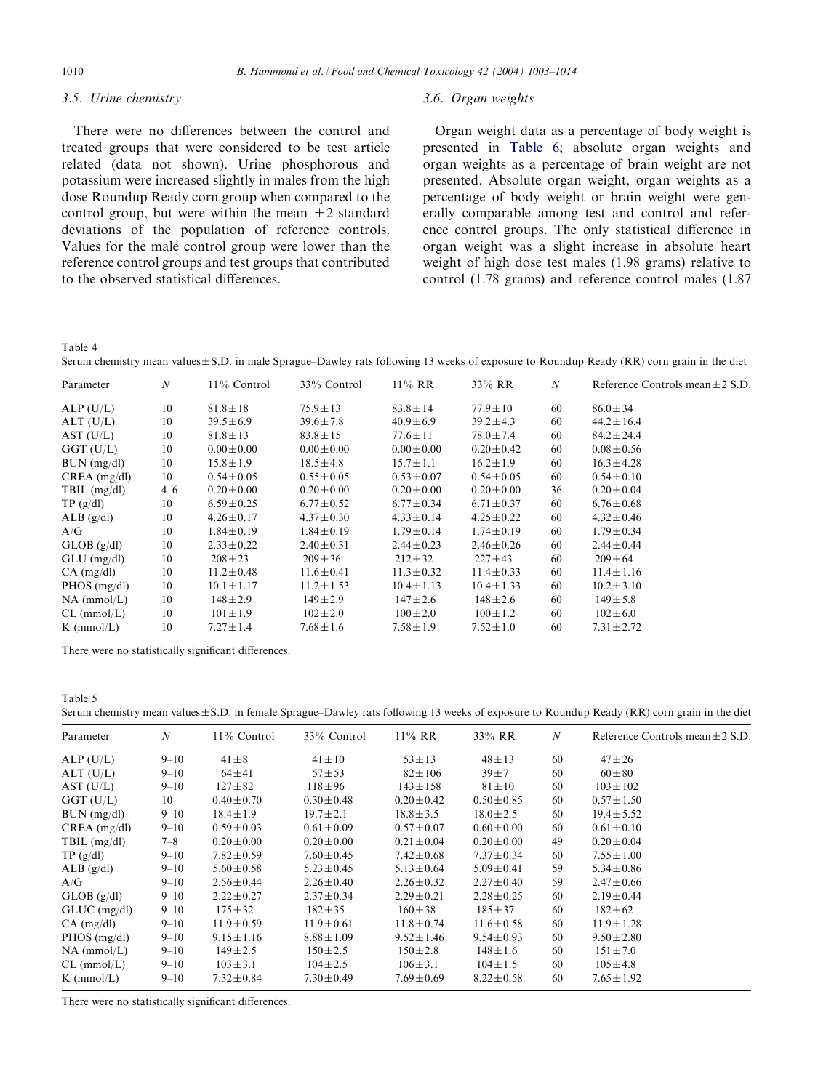# <span id="page-7-0"></span>3.5. Urine chemistry

There were no differences between the control and treated groups that were considered to be test article related (data not shown). Urine phosphorous and potassium were increased slightly in males from the high dose Roundup Ready corn group when compared to the control group, but were within the mean  $\pm 2$  standard deviations of the population of reference controls. Values for the male control group were lower than the reference control groups and test groups that contributed to the observed statistical differences.

#### 3.6. Organ weights

Organ weight data as a percentage of body weight is presented in [Table 6](#page-8-0); absolute organ weights and organ weights as a percentage of brain weight are not presented. Absolute organ weight, organ weights as a percentage of body weight or brain weight were generally comparable among test and control and reference control groups. The only statistical difference in organ weight was a slight increase in absolute heart weight of high dose test males (1.98 grams) relative to control (1.78 grams) and reference control males (1.87

Table 4

Serum chemistry mean values $\pm$ S.D. in male Sprague–Dawley rats following 13 weeks of exposure to Roundup Ready (RR) corn grain in the diet

| Parameter            | $\boldsymbol{N}$ | $11\%$ Control  | 33% Control     | $11\%$ RR       | 33% RR          | $\boldsymbol{N}$ | Reference Controls mean $\pm 2$ S.D. |
|----------------------|------------------|-----------------|-----------------|-----------------|-----------------|------------------|--------------------------------------|
| ALP(U/L)             | 10               | $81.8 \pm 18$   | $75.9 \pm 13$   | $83.8 \pm 14$   | $77.9 \pm 10$   | 60               | $86.0 \pm 34$                        |
| ALT (U/L)            | 10               | $39.5 \pm 6.9$  | $39.6 \pm 7.8$  | $40.9 \pm 6.9$  | $39.2 \pm 4.3$  | 60               | $44.2 \pm 16.4$                      |
| AST (U/L)            | 10               | $81.8 \pm 13$   | $83.8 \pm 15$   | $77.6 \pm 11$   | $78.0 \pm 7.4$  | 60               | $84.2 \pm 24.4$                      |
| $GGT$ (U/L)          | 10               | $0.00 \pm 0.00$ | $0.00 \pm 0.00$ | $0.00 \pm 0.00$ | $0.20 \pm 0.42$ | 60               | $0.08 \pm 0.56$                      |
| $BUN$ (mg/dl)        | 10               | $15.8 \pm 1.9$  | $18.5 \pm 4.8$  | $15.7 \pm 1.1$  | $16.2 \pm 1.9$  | 60               | $16.3 \pm 4.28$                      |
| $CREA$ (mg/dl)       | 10               | $0.54 \pm 0.05$ | $0.55 \pm 0.05$ | $0.53 \pm 0.07$ | $0.54 \pm 0.05$ | 60               | $0.54 \pm 0.10$                      |
| TBIL $(mg/dl)$       | $4 - 6$          | $0.20 \pm 0.00$ | $0.20 \pm 0.00$ | $0.20 \pm 0.00$ | $0.20 \pm 0.00$ | 36               | $0.20 \pm 0.04$                      |
| TP(g/dl)             | 10               | $6.59 \pm 0.25$ | $6.77 \pm 0.52$ | $6.77 \pm 0.34$ | $6.71 \pm 0.37$ | 60               | $6.76 \pm 0.68$                      |
| $ALB$ (g/dl)         | 10               | $4.26 \pm 0.17$ | $4.37 \pm 0.30$ | $4.33 \pm 0.14$ | $4.25 \pm 0.22$ | 60               | $4.32 \pm 0.46$                      |
| A/G                  | 10               | $1.84 \pm 0.19$ | $1.84 \pm 0.19$ | $1.79 \pm 0.14$ | $1.74 \pm 0.19$ | 60               | $1.79 \pm 0.34$                      |
| GLOB(g/dl)           | 10               | $2.33 \pm 0.22$ | $2.40 \pm 0.31$ | $2.44 \pm 0.23$ | $2.46 \pm 0.26$ | 60               | $2.44 \pm 0.44$                      |
| $GLU$ (mg/dl)        | 10               | $208 \pm 23$    | $209 \pm 36$    | $212 \pm 32$    | $227 \pm 43$    | 60               | $209 \pm 64$                         |
| $CA$ (mg/dl)         | 10               | $11.2 \pm 0.48$ | $11.6 \pm 0.41$ | $11.3 \pm 0.32$ | $11.4 \pm 0.33$ | 60               | $11.4 \pm 1.16$                      |
| $PHOS$ (mg/dl)       | 10               | $10.1 \pm 1.17$ | $11.2 \pm 1.53$ | $10.4 \pm 1.13$ | $10.4 \pm 1.33$ | 60               | $10.2 \pm 3.10$                      |
| $NA$ (mmol/L)        | 10               | $148 \pm 2.9$   | $149 \pm 2.9$   | $147 \pm 2.6$   | $148 \pm 2.6$   | 60               | $149 \pm 5.8$                        |
| $CL$ (mmol/L)        | 10               | $101 \pm 1.9$   | $102 \pm 2.0$   | $100 \pm 2.0$   | $100 \pm 1.2$   | 60               | $102 \pm 6.0$                        |
| $K \text{ (mmol/L)}$ | 10               | $7.27 \pm 1.4$  | $7.68 \pm 1.6$  | $7.58 \pm 1.9$  | $7.52 \pm 1.0$  | 60               | $7.31 \pm 2.72$                      |

There were no statistically significant differences.

Table 5

| Serum chemistry mean values $\pm$ S.D. in female Sprague–Dawley rats following 13 weeks of exposure to Roundup Ready (RR) corn grain in the diet |  |  |  |  |  |
|--------------------------------------------------------------------------------------------------------------------------------------------------|--|--|--|--|--|
|--------------------------------------------------------------------------------------------------------------------------------------------------|--|--|--|--|--|

| Parameter      | $\boldsymbol{N}$ | 11% Control     | 33% Control     | $11\%$ RR       | 33% RR          | $\boldsymbol{N}$ | Reference Controls mean $\pm 2$ S.D. |
|----------------|------------------|-----------------|-----------------|-----------------|-----------------|------------------|--------------------------------------|
| ALP(U/L)       | $9 - 10$         | $41 \pm 8$      | $41 \pm 10$     | $53 \pm 13$     | $48 \pm 13$     | 60               | $47 + 26$                            |
| ALT (U/L)      | $9 - 10$         | $64 + 41$       | $57 + 53$       | $82 \pm 106$    | $39 + 7$        | 60               | $60 \pm 80$                          |
| AST (U/L)      | $9 - 10$         | $127 \pm 82$    | $118 + 96$      | $143 \pm 158$   | $81 \pm 10$     | 60               | $103 \pm 102$                        |
| $GGT$ (U/L)    | 10               | $0.40 \pm 0.70$ | $0.30 \pm 0.48$ | $0.20 \pm 0.42$ | $0.50 \pm 0.85$ | 60               | $0.57 \pm 1.50$                      |
| BUN (mg/dl)    | $9 - 10$         | $18.4 \pm 1.9$  | $19.7 \pm 2.1$  | $18.8 \pm 3.5$  | $18.0 \pm 2.5$  | 60               | $19.4 \pm 5.52$                      |
| $CREA$ (mg/dl) | $9 - 10$         | $0.59 \pm 0.03$ | $0.61 \pm 0.09$ | $0.57 \pm 0.07$ | $0.60 \pm 0.00$ | 60               | $0.61 \pm 0.10$                      |
| TBIL $(mg/dl)$ | $7 - 8$          | $0.20 \pm 0.00$ | $0.20 \pm 0.00$ | $0.21 \pm 0.04$ | $0.20 \pm 0.00$ | 49               | $0.20 \pm 0.04$                      |
| TP(g/dl)       | $9 - 10$         | $7.82 \pm 0.59$ | $7.60 \pm 0.45$ | $7.42 \pm 0.68$ | $7.37 \pm 0.34$ | 60               | $7.55 \pm 1.00$                      |
| ALB(g/dl)      | $9 - 10$         | $5.60 \pm 0.58$ | $5.23 \pm 0.45$ | $5.13 \pm 0.64$ | $5.09 \pm 0.41$ | 59               | $5.34 \pm 0.86$                      |
| A/G            | $9 - 10$         | $2.56 \pm 0.44$ | $2.26 \pm 0.40$ | $2.26 \pm 0.32$ | $2.27 \pm 0.40$ | 59               | $2.47 \pm 0.66$                      |
| GLOB(g/dl)     | $9 - 10$         | $2.22 \pm 0.27$ | $2.37 \pm 0.34$ | $2.29 \pm 0.21$ | $2.28 \pm 0.25$ | 60               | $2.19 \pm 0.44$                      |
| $GLUC$ (mg/dl) | $9 - 10$         | $175 \pm 32$    | $182 \pm 35$    | $160 \pm 38$    | $185 \pm 37$    | 60               | $182 \pm 62$                         |
| $CA$ (mg/dl)   | $9 - 10$         | $11.9 \pm 0.59$ | $11.9 \pm 0.61$ | $11.8 \pm 0.74$ | $11.6 \pm 0.58$ | 60               | $11.9 \pm 1.28$                      |
| $PHOS$ (mg/dl) | $9 - 10$         | $9.15 \pm 1.16$ | $8.88 \pm 1.09$ | $9.52 \pm 1.46$ | $9.54 \pm 0.93$ | 60               | $9.50 \pm 2.80$                      |
| $NA$ (mmol/L)  | $9 - 10$         | $149 \pm 2.5$   | $150 \pm 2.5$   | $150 \pm 2.8$   | $148 \pm 1.6$   | 60               | $151 \pm 7.0$                        |
| $CL$ (mmol/L)  | $9 - 10$         | $103 \pm 3.1$   | $104 \pm 2.5$   | $106 \pm 3.1$   | $104 \pm 1.5$   | 60               | $105 \pm 4.8$                        |
| $K$ (mmol/L)   | $9 - 10$         | $7.32 \pm 0.84$ | $7.30 \pm 0.49$ | $7.69 \pm 0.69$ | $8.22 \pm 0.58$ | 60               | $7.65 \pm 1.92$                      |

There were no statistically significant differences.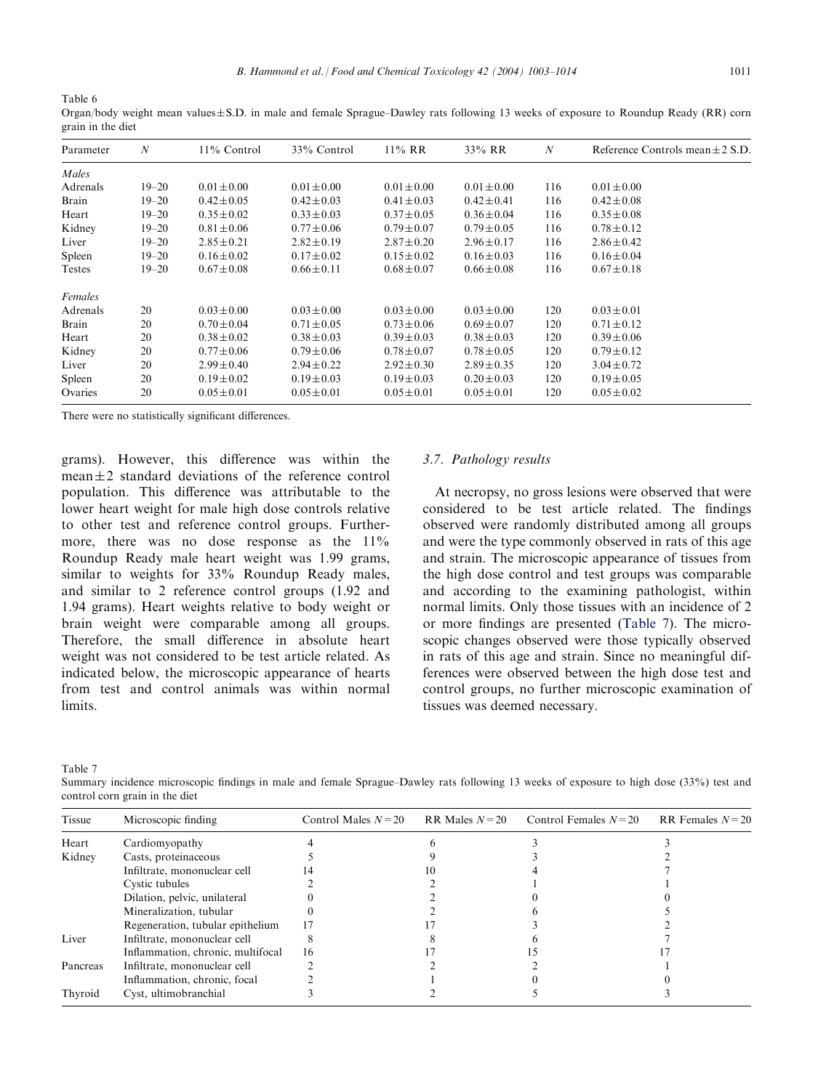<span id="page-8-0"></span>Table 6 Organ/body weight mean values $\pm$ S.D. in male and female Sprague–Dawley rats following 13 weeks of exposure to Roundup Ready (RR) corn grain in the diet

| Parameter | $\boldsymbol{N}$ | $11\%$ Control  | 33% Control     | $11\%$ RR       | 33% RR          | N   | Reference Controls mean $\pm 2$ S.D. |
|-----------|------------------|-----------------|-----------------|-----------------|-----------------|-----|--------------------------------------|
| Males     |                  |                 |                 |                 |                 |     |                                      |
| Adrenals  | $19 - 20$        | $0.01 \pm 0.00$ | $0.01 \pm 0.00$ | $0.01 \pm 0.00$ | $0.01 \pm 0.00$ | 116 | $0.01 \pm 0.00$                      |
| Brain     | $19 - 20$        | $0.42 \pm 0.05$ | $0.42 \pm 0.03$ | $0.41 \pm 0.03$ | $0.42 \pm 0.41$ | 116 | $0.42 \pm 0.08$                      |
| Heart     | $19 - 20$        | $0.35 \pm 0.02$ | $0.33 \pm 0.03$ | $0.37 \pm 0.05$ | $0.36 \pm 0.04$ | 116 | $0.35 \pm 0.08$                      |
| Kidney    | $19 - 20$        | $0.81 \pm 0.06$ | $0.77 \pm 0.06$ | $0.79 \pm 0.07$ | $0.79 \pm 0.05$ | 116 | $0.78 \pm 0.12$                      |
| Liver     | $19 - 20$        | $2.85 \pm 0.21$ | $2.82 \pm 0.19$ | $2.87 \pm 0.20$ | $2.96 \pm 0.17$ | 116 | $2.86 \pm 0.42$                      |
| Spleen    | $19 - 20$        | $0.16 \pm 0.02$ | $0.17 \pm 0.02$ | $0.15 \pm 0.02$ | $0.16 \pm 0.03$ | 116 | $0.16 \pm 0.04$                      |
| Testes    | $19 - 20$        | $0.67 \pm 0.08$ | $0.66 \pm 0.11$ | $0.68 \pm 0.07$ | $0.66 \pm 0.08$ | 116 | $0.67 \pm 0.18$                      |
| Females   |                  |                 |                 |                 |                 |     |                                      |
| Adrenals  | 20               | $0.03 \pm 0.00$ | $0.03 \pm 0.00$ | $0.03 \pm 0.00$ | $0.03 \pm 0.00$ | 120 | $0.03 \pm 0.01$                      |
| Brain     | 20               | $0.70 \pm 0.04$ | $0.71 \pm 0.05$ | $0.73 \pm 0.06$ | $0.69 \pm 0.07$ | 120 | $0.71 \pm 0.12$                      |
| Heart     | 20               | $0.38 \pm 0.02$ | $0.38 \pm 0.03$ | $0.39 \pm 0.03$ | $0.38 \pm 0.03$ | 120 | $0.39 \pm 0.06$                      |
| Kidney    | 20               | $0.77 \pm 0.06$ | $0.79 \pm 0.06$ | $0.78 \pm 0.07$ | $0.78 \pm 0.05$ | 120 | $0.79 \pm 0.12$                      |
| Liver     | 20               | $2.99 \pm 0.40$ | $2.94 \pm 0.22$ | $2.92 \pm 0.30$ | $2.89 \pm 0.35$ | 120 | $3.04 \pm 0.72$                      |
| Spleen    | 20               | $0.19 \pm 0.02$ | $0.19 \pm 0.03$ | $0.19 \pm 0.03$ | $0.20 \pm 0.03$ | 120 | $0.19 \pm 0.05$                      |
| Ovaries   | 20               | $0.05 \pm 0.01$ | $0.05 \pm 0.01$ | $0.05 \pm 0.01$ | $0.05 \pm 0.01$ | 120 | $0.05 \pm 0.02$                      |
|           |                  |                 |                 |                 |                 |     |                                      |

There were no statistically significant differences.

grams). However, this difference was within the mean $\pm 2$  standard deviations of the reference control population. This difference was attributable to the lower heart weight for male high dose controls relative to other test and reference control groups. Furthermore, there was no dose response as the  $11\%$ Roundup Ready male heart weight was 1.99 grams, similar to weights for 33% Roundup Ready males, and similar to 2 reference control groups (1.92 and 1.94 grams). Heart weights relative to body weight or brain weight were comparable among all groups. Therefore, the small difference in absolute heart weight was not considered to be test article related. As indicated below, the microscopic appearance of hearts from test and control animals was within normal limits.

### 3.7. Pathology results

At necropsy, no gross lesions were observed that were considered to be test article related. The findings observed were randomly distributed among all groups and were the type commonly observed in rats of this age and strain. The microscopic appearance of tissues from the high dose control and test groups was comparable and according to the examining pathologist, within normal limits. Only those tissues with an incidence of 2 or more findings are presented (Table 7). The microscopic changes observed were those typically observed in rats of this age and strain. Since no meaningful differences were observed between the high dose test and control groups, no further microscopic examination of tissues was deemed necessary.

Table 7

Summary incidence microscopic findings in male and female Sprague–Dawley rats following 13 weeks of exposure to high dose (33%) test and control corn grain in the diet

| <b>Tissue</b> | Microscopic finding               | Control Males $N=20$ | RR Males $N=20$ | Control Females $N=20$ | RR Females $N=20$ |
|---------------|-----------------------------------|----------------------|-----------------|------------------------|-------------------|
| Heart         | Cardiomyopathy                    |                      |                 |                        |                   |
| Kidney        | Casts, proteinaceous              |                      |                 |                        |                   |
|               | Infiltrate, mononuclear cell      |                      |                 |                        |                   |
|               | Cystic tubules                    |                      |                 |                        |                   |
|               | Dilation, pelvic, unilateral      |                      |                 |                        |                   |
|               | Mineralization, tubular           |                      |                 |                        |                   |
|               | Regeneration, tubular epithelium  |                      |                 |                        |                   |
| Liver         | Infiltrate, mononuclear cell      |                      |                 |                        |                   |
|               | Inflammation, chronic, multifocal | 16                   |                 |                        |                   |
| Pancreas      | Infiltrate, mononuclear cell      |                      |                 |                        |                   |
|               | Inflammation, chronic, focal      |                      |                 |                        |                   |
| Thyroid       | Cyst, ultimobranchial             |                      |                 |                        |                   |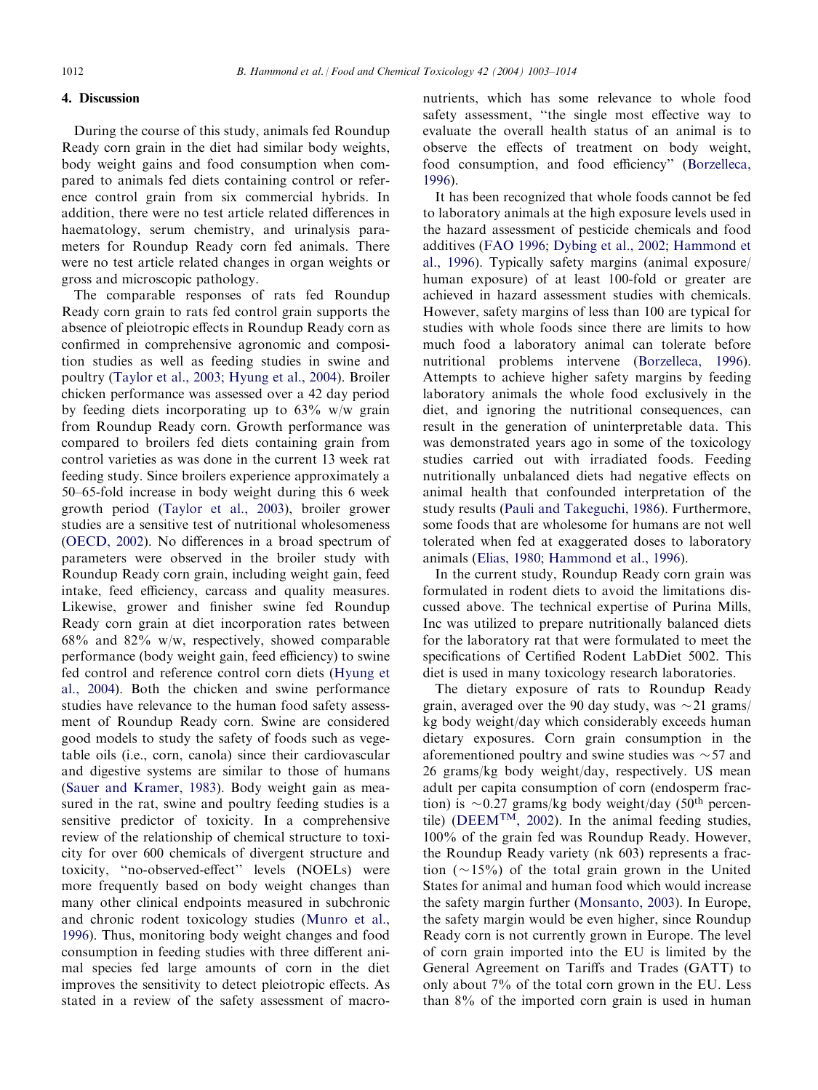# 4. Discussion

During the course of this study, animals fed Roundup Ready corn grain in the diet had similar body weights, body weight gains and food consumption when compared to animals fed diets containing control or reference control grain from six commercial hybrids. In addition, there were no test article related differences in haematology, serum chemistry, and urinalysis parameters for Roundup Ready corn fed animals. There were no test article related changes in organ weights or gross and microscopic pathology.

The comparable responses of rats fed Roundup Ready corn grain to rats fed control grain supports the absence of pleiotropic effects in Roundup Ready corn as confirmed in comprehensive agronomic and composition studies as well as feeding studies in swine and poultry [\(Taylor et al., 2003; Hyung et al., 2004](#page-11-0)). Broiler chicken performance was assessed over a 42 day period by feeding diets incorporating up to  $63\%$  w/w grain from Roundup Ready corn. Growth performance was compared to broilers fed diets containing grain from control varieties as was done in the current 13 week rat feeding study. Since broilers experience approximately a 50–65-fold increase in body weight during this 6 week growth period ([Taylor et al., 2003](#page-11-0)), broiler grower studies are a sensitive test of nutritional wholesomeness [\(OECD, 2002\)](#page-11-0). No differences in a broad spectrum of parameters were observed in the broiler study with Roundup Ready corn grain, including weight gain, feed intake, feed efficiency, carcass and quality measures. Likewise, grower and finisher swine fed Roundup Ready corn grain at diet incorporation rates between 68% and 82% w/w, respectively, showed comparable performance (body weight gain, feed efficiency) to swine fed control and reference control corn diets [\(Hyung et](#page-11-0) [al., 2004\)](#page-11-0). Both the chicken and swine performance studies have relevance to the human food safety assessment of Roundup Ready corn. Swine are considered good models to study the safety of foods such as vegetable oils (i.e., corn, canola) since their cardiovascular and digestive systems are similar to those of humans [\(Sauer and Kramer, 1983\)](#page-11-0). Body weight gain as measured in the rat, swine and poultry feeding studies is a sensitive predictor of toxicity. In a comprehensive review of the relationship of chemical structure to toxicity for over 600 chemicals of divergent structure and toxicity, ''no-observed-effect'' levels (NOELs) were more frequently based on body weight changes than many other clinical endpoints measured in subchronic and chronic rodent toxicology studies ([Munro et al.,](#page-11-0) [1996\)](#page-11-0). Thus, monitoring body weight changes and food consumption in feeding studies with three different animal species fed large amounts of corn in the diet improves the sensitivity to detect pleiotropic effects. As stated in a review of the safety assessment of macro-

nutrients, which has some relevance to whole food safety assessment, ''the single most effective way to evaluate the overall health status of an animal is to observe the effects of treatment on body weight, food consumption, and food efficiency'' [\(Borzelleca,](#page-10-0) [1996\)](#page-10-0).

It has been recognized that whole foods cannot be fed to laboratory animals at the high exposure levels used in the hazard assessment of pesticide chemicals and food additives [\(FAO 1996; Dybing et al., 2002; Hammond et](#page-10-0) [al., 1996\)](#page-10-0). Typically safety margins (animal exposure/ human exposure) of at least 100-fold or greater are achieved in hazard assessment studies with chemicals. However, safety margins of less than 100 are typical for studies with whole foods since there are limits to how much food a laboratory animal can tolerate before nutritional problems intervene ([Borzelleca, 1996\)](#page-10-0). Attempts to achieve higher safety margins by feeding laboratory animals the whole food exclusively in the diet, and ignoring the nutritional consequences, can result in the generation of uninterpretable data. This was demonstrated years ago in some of the toxicology studies carried out with irradiated foods. Feeding nutritionally unbalanced diets had negative effects on animal health that confounded interpretation of the study results [\(Pauli and Takeguchi, 1986\)](#page-11-0). Furthermore, some foods that are wholesome for humans are not well tolerated when fed at exaggerated doses to laboratory animals [\(Elias, 1980; Hammond et al., 1996](#page-10-0)).

In the current study, Roundup Ready corn grain was formulated in rodent diets to avoid the limitations discussed above. The technical expertise of Purina Mills, Inc was utilized to prepare nutritionally balanced diets for the laboratory rat that were formulated to meet the specifications of Certified Rodent LabDiet 5002. This diet is used in many toxicology research laboratories.

The dietary exposure of rats to Roundup Ready grain, averaged over the 90 day study, was  $\sim$  21 grams/ kg body weight/day which considerably exceeds human dietary exposures. Corn grain consumption in the aforementioned poultry and swine studies was  $\sim$  57 and 26 grams/kg body weight/day, respectively. US mean adult per capita consumption of corn (endosperm fraction) is  $\sim 0.27$  grams/kg body weight/day (50<sup>th</sup> percentile) [\(DEEM](#page-10-0)T[M, 2002](#page-10-0)). In the animal feeding studies, 100% of the grain fed was Roundup Ready. However, the Roundup Ready variety (nk 603) represents a fraction  $(\sim 15\%)$  of the total grain grown in the United States for animal and human food which would increase the safety margin further ([Monsanto, 2003](#page-11-0)). In Europe, the safety margin would be even higher, since Roundup Ready corn is not currently grown in Europe. The level of corn grain imported into the EU is limited by the General Agreement on Tariffs and Trades (GATT) to only about 7% of the total corn grown in the EU. Less than 8% of the imported corn grain is used in human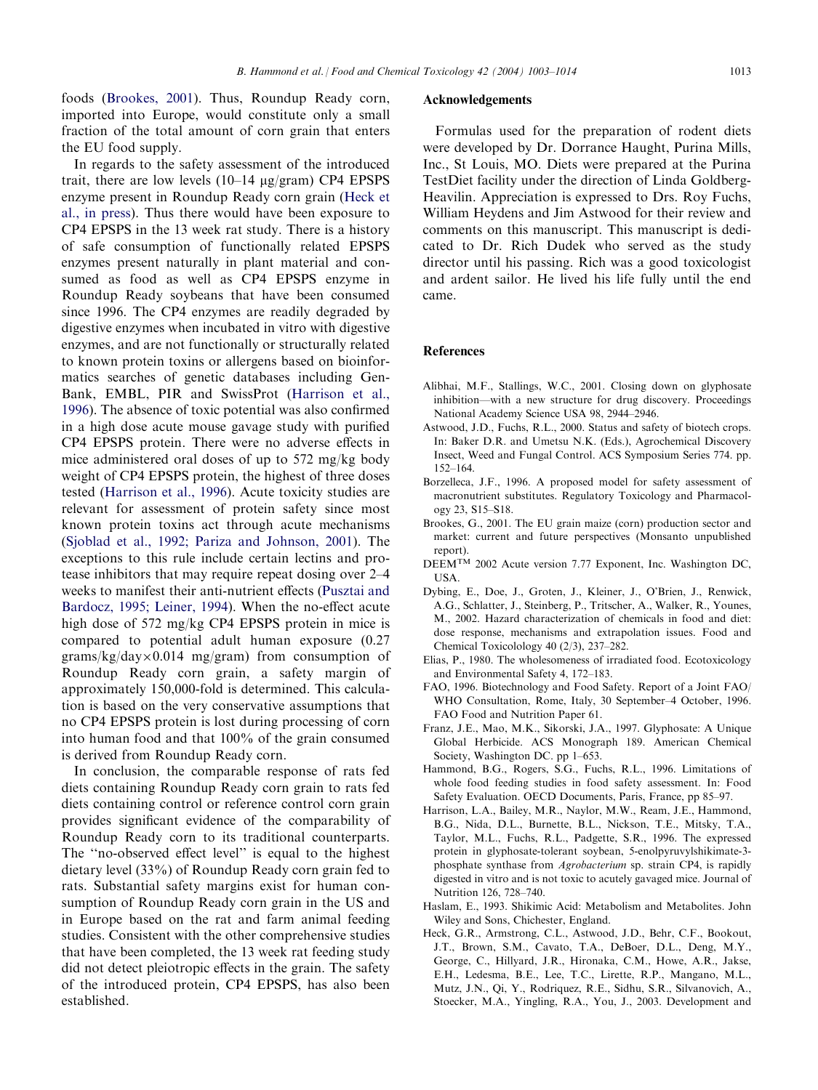<span id="page-10-0"></span>foods (Brookes, 2001). Thus, Roundup Ready corn, imported into Europe, would constitute only a small fraction of the total amount of corn grain that enters the EU food supply.

In regards to the safety assessment of the introduced trait, there are low levels  $(10-14 \text{ µg/gram})$  CP4 EPSPS enzyme present in Roundup Ready corn grain (Heck et al., in press). Thus there would have been exposure to CP4 EPSPS in the 13 week rat study. There is a history of safe consumption of functionally related EPSPS enzymes present naturally in plant material and consumed as food as well as CP4 EPSPS enzyme in Roundup Ready soybeans that have been consumed since 1996. The CP4 enzymes are readily degraded by digestive enzymes when incubated in vitro with digestive enzymes, and are not functionally or structurally related to known protein toxins or allergens based on bioinformatics searches of genetic databases including Gen-Bank, EMBL, PIR and SwissProt (Harrison et al., 1996). The absence of toxic potential was also confirmed in a high dose acute mouse gavage study with purified CP4 EPSPS protein. There were no adverse effects in mice administered oral doses of up to 572 mg/kg body weight of CP4 EPSPS protein, the highest of three doses tested (Harrison et al., 1996). Acute toxicity studies are relevant for assessment of protein safety since most known protein toxins act through acute mechanisms [\(Sjoblad et al., 1992; Pariza and Johnson, 2001\)](#page-11-0). The exceptions to this rule include certain lectins and protease inhibitors that may require repeat dosing over 2–4 weeks to manifest their anti-nutrient effects [\(Pusztai and](#page-11-0) [Bardocz, 1995; Leiner, 1994](#page-11-0)). When the no-effect acute high dose of 572 mg/kg CP4 EPSPS protein in mice is compared to potential adult human exposure (0.27  $grams/kg/day \times 0.014$  mg/gram) from consumption of Roundup Ready corn grain, a safety margin of approximately 150,000-fold is determined. This calculation is based on the very conservative assumptions that no CP4 EPSPS protein is lost during processing of corn into human food and that 100% of the grain consumed is derived from Roundup Ready corn.

In conclusion, the comparable response of rats fed diets containing Roundup Ready corn grain to rats fed diets containing control or reference control corn grain provides significant evidence of the comparability of Roundup Ready corn to its traditional counterparts. The ''no-observed effect level'' is equal to the highest dietary level (33%) of Roundup Ready corn grain fed to rats. Substantial safety margins exist for human consumption of Roundup Ready corn grain in the US and in Europe based on the rat and farm animal feeding studies. Consistent with the other comprehensive studies that have been completed, the 13 week rat feeding study did not detect pleiotropic effects in the grain. The safety of the introduced protein, CP4 EPSPS, has also been established.

#### Acknowledgements

Formulas used for the preparation of rodent diets were developed by Dr. Dorrance Haught, Purina Mills, Inc., St Louis, MO. Diets were prepared at the Purina TestDiet facility under the direction of Linda Goldberg-Heavilin. Appreciation is expressed to Drs. Roy Fuchs, William Heydens and Jim Astwood for their review and comments on this manuscript. This manuscript is dedicated to Dr. Rich Dudek who served as the study director until his passing. Rich was a good toxicologist and ardent sailor. He lived his life fully until the end came.

#### References

- Alibhai, M.F., Stallings, W.C., 2001. Closing down on glyphosate inhibition—with a new structure for drug discovery. Proceedings National Academy Science USA 98, 2944–2946.
- Astwood, J.D., Fuchs, R.L., 2000. Status and safety of biotech crops. In: Baker D.R. and Umetsu N.K. (Eds.), Agrochemical Discovery Insect, Weed and Fungal Control. ACS Symposium Series 774. pp. 152–164.
- Borzelleca, J.F., 1996. A proposed model for safety assessment of macronutrient substitutes. Regulatory Toxicology and Pharmacology 23, S15–S18.
- Brookes, G., 2001. The EU grain maize (corn) production sector and market: current and future perspectives (Monsanto unpublished report).
- DEEMTM 2002 Acute version 7.77 Exponent, Inc. Washington DC, USA.
- Dybing, E., Doe, J., Groten, J., Kleiner, J., O'Brien, J., Renwick, A.G., Schlatter, J., Steinberg, P., Tritscher, A., Walker, R., Younes, M., 2002. Hazard characterization of chemicals in food and diet: dose response, mechanisms and extrapolation issues. Food and Chemical Toxicolology 40 (2/3), 237–282.
- Elias, P., 1980. The wholesomeness of irradiated food. Ecotoxicology and Environmental Safety 4, 172–183.
- FAO, 1996. Biotechnology and Food Safety. Report of a Joint FAO/ WHO Consultation, Rome, Italy, 30 September–4 October, 1996. FAO Food and Nutrition Paper 61.
- Franz, J.E., Mao, M.K., Sikorski, J.A., 1997. Glyphosate: A Unique Global Herbicide. ACS Monograph 189. American Chemical Society, Washington DC. pp 1–653.
- Hammond, B.G., Rogers, S.G., Fuchs, R.L., 1996. Limitations of whole food feeding studies in food safety assessment. In: Food Safety Evaluation. OECD Documents, Paris, France, pp 85–97.
- Harrison, L.A., Bailey, M.R., Naylor, M.W., Ream, J.E., Hammond, B.G., Nida, D.L., Burnette, B.L., Nickson, T.E., Mitsky, T.A., Taylor, M.L., Fuchs, R.L., Padgette, S.R., 1996. The expressed protein in glyphosate-tolerant soybean, 5-enolpyruvylshikimate-3 phosphate synthase from Agrobacterium sp. strain CP4, is rapidly digested in vitro and is not toxic to acutely gavaged mice. Journal of Nutrition 126, 728–740.
- Haslam, E., 1993. Shikimic Acid: Metabolism and Metabolites. John Wiley and Sons, Chichester, England.
- Heck, G.R., Armstrong, C.L., Astwood, J.D., Behr, C.F., Bookout, J.T., Brown, S.M., Cavato, T.A., DeBoer, D.L., Deng, M.Y., George, C., Hillyard, J.R., Hironaka, C.M., Howe, A.R., Jakse, E.H., Ledesma, B.E., Lee, T.C., Lirette, R.P., Mangano, M.L., Mutz, J.N., Qi, Y., Rodriquez, R.E., Sidhu, S.R., Silvanovich, A., Stoecker, M.A., Yingling, R.A., You, J., 2003. Development and